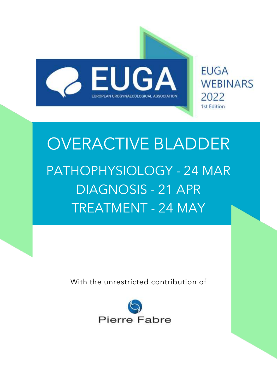

**EUGA WEBINARS** 2022 **1st Edition** 

# OVERACTIVE BLADDER PATHOPHYSIOLOGY - 24 MAR DIAGNOSIS - 21 APR TREATMENT - 24 MAY

With the unrestricted contribution of

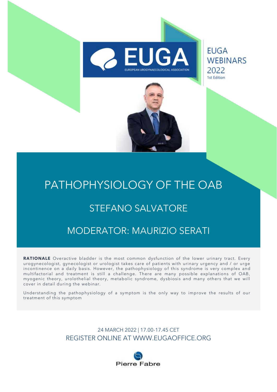

## PATHOPHYSIOLOGY OF THE OAB

#### STEFANO SALVATORE

#### MODERATOR: MAURIZIO SERATI

RATIONALE Overactive bladder is the most common dysfunction of the lower urinary tract. Every urogynecologist, gynecologist or urologist takes care of patients with urinary urgency and / or urge incontinence on a daily basis. However, the pathophysiology of this syndrome is very complex and multifactorial and treatment is still a challenge. There are many possible explanations of OAB, myogenic theory, urolothelial theory, metabolic syndrome, dysbiosis and many others that we will cover in detail during the webinar.

Understanding the pathophysiology of a symptom is the only way to improve the results of our treatment of this symptom

> 24 MARCH 2022 | 17.00-17.45 CET REGISTER ONLINE AT WWW.EUGAOFFICE.ORG

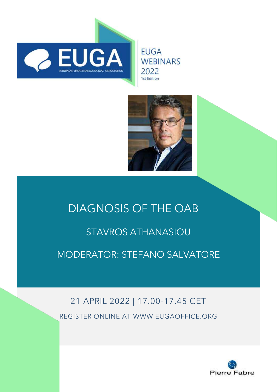

**EUGA WEBINARS** 2022 1st Edition



## DIAGNOSIS OF THE OAB STAVROS ATHANASIOU MODERATOR: STEFANO SALVATORE

## 21 APRIL 2022 | 17.00-17.45 CET REGISTER ONLINE AT WWW.EUGAOFFICE.ORG

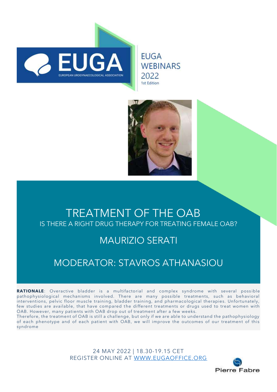

**EUGA WEBINARS** 2022 1st Edition



#### TREATMENT OF THE OAB IS THERE A RIGHT DRUG THERAPY FOR TREATING FEMALE OAB?

#### MAURIZIO SERATI

### MODERATOR: STAVROS ATHANASIOU

**RATIONALE**: Overactive bladder is a multifactorial and complex syndrome with several possible pathophysiological mechanisms involved. There are many possible treatments, such as behavioral interventions, pelvic floor muscle training, bladder training, and pharmacological therapies. Unfortunately, few studies are available, that have compared the different treatments or drugs used to treat women with OAB. However, many patients with OAB drop out of treatment after a few weeks.

Therefore, the treatment of OAB is still a challenge, but only if we are able to understand the pathophysiology of each phenotype and of each patient with OAB, we will improve the outcomes of our treatment of this syndrome

> 24 MAY 2022 | 18.30-19.15 CET REGISTER ONLINE AT [WWW.EUGAOFFICE.ORG](http://www.eugaoffice.org/)